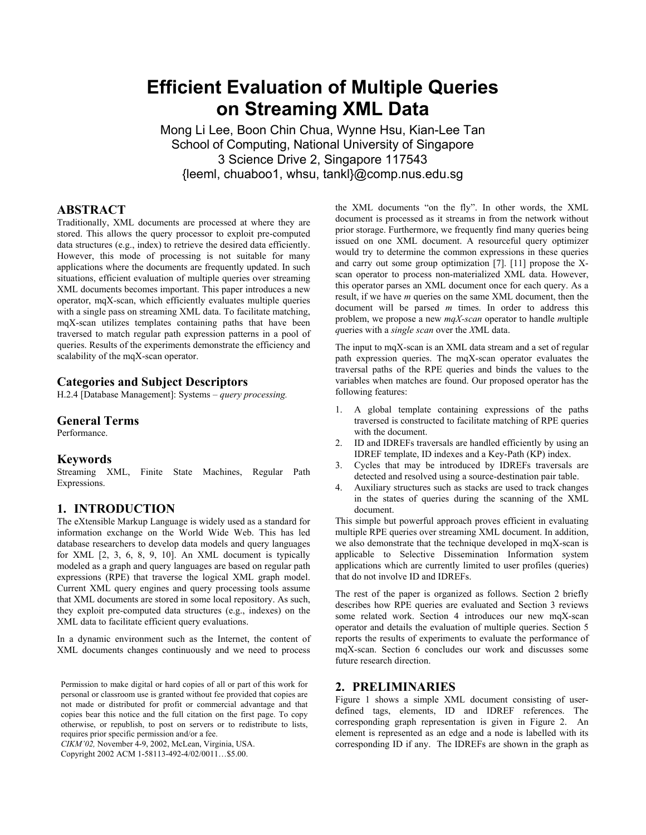# **Efficient Evaluation of Multiple Queries on Streaming XML Data**

Mong Li Lee, Boon Chin Chua, Wynne Hsu, Kian-Lee Tan School of Computing, National University of Singapore 3 Science Drive 2, Singapore 117543 {leeml, chuaboo1, whsu, tankl}@comp.nus.edu.sg

# **ABSTRACT**

Traditionally, XML documents are processed at where they are stored. This allows the query processor to exploit pre-computed data structures (e.g., index) to retrieve the desired data efficiently. However, this mode of processing is not suitable for many applications where the documents are frequently updated. In such situations, efficient evaluation of multiple queries over streaming XML documents becomes important. This paper introduces a new operator, mqX-scan, which efficiently evaluates multiple queries with a single pass on streaming XML data. To facilitate matching, mqX-scan utilizes templates containing paths that have been traversed to match regular path expression patterns in a pool of queries. Results of the experiments demonstrate the efficiency and scalability of the mqX-scan operator.

# **Categories and Subject Descriptors**

H.2.4 [Database Management]: Systems – *query processing.* 

#### **General Terms**

Performance.

## **Keywords**

Streaming XML, Finite State Machines, Regular Path Expressions.

# **1. INTRODUCTION**

The eXtensible Markup Language is widely used as a standard for information exchange on the World Wide Web. This has led database researchers to develop data models and query languages for XML [2, 3, 6, 8, 9, 10]. An XML document is typically modeled as a graph and query languages are based on regular path expressions (RPE) that traverse the logical XML graph model. Current XML query engines and query processing tools assume that XML documents are stored in some local repository. As such, they exploit pre-computed data structures (e.g., indexes) on the XML data to facilitate efficient query evaluations.

In a dynamic environment such as the Internet, the content of XML documents changes continuously and we need to process

Permission to make digital or hard copies of all or part of this work for personal or classroom use is granted without fee provided that copies are not made or distributed for profit or commercial advantage and that copies bear this notice and the full citation on the first page. To copy otherwise, or republish, to post on servers or to redistribute to lists, requires prior specific permission and/or a fee.

*CIKM'02,* November 4-9, 2002, McLean, Virginia, USA.

Copyright 2002 ACM 1-58113-492-4/02/0011…\$5.00.

the XML documents "on the fly". In other words, the XML document is processed as it streams in from the network without prior storage. Furthermore, we frequently find many queries being issued on one XML document. A resourceful query optimizer would try to determine the common expressions in these queries and carry out some group optimization [7]. [11] propose the Xscan operator to process non-materialized XML data. However, this operator parses an XML document once for each query. As a result, if we have *m* queries on the same XML document, then the document will be parsed *m* times. In order to address this problem, we propose a new *mqX-scan* operator to handle *m*ultiple *q*ueries with a *single scan* over the *X*ML data.

The input to mqX-scan is an XML data stream and a set of regular path expression queries. The mqX-scan operator evaluates the traversal paths of the RPE queries and binds the values to the variables when matches are found. Our proposed operator has the following features:

- 1. A global template containing expressions of the paths traversed is constructed to facilitate matching of RPE queries with the document.
- 2. ID and IDREFs traversals are handled efficiently by using an IDREF template, ID indexes and a Key-Path (KP) index.
- 3. Cycles that may be introduced by IDREFs traversals are detected and resolved using a source-destination pair table.
- Auxiliary structures such as stacks are used to track changes in the states of queries during the scanning of the XML document.

This simple but powerful approach proves efficient in evaluating multiple RPE queries over streaming XML document. In addition, we also demonstrate that the technique developed in mqX-scan is applicable to Selective Dissemination Information system applications which are currently limited to user profiles (queries) that do not involve ID and IDREFs.

The rest of the paper is organized as follows. Section 2 briefly describes how RPE queries are evaluated and Section 3 reviews some related work. Section 4 introduces our new mqX-scan operator and details the evaluation of multiple queries. Section 5 reports the results of experiments to evaluate the performance of mqX-scan. Section 6 concludes our work and discusses some future research direction.

## **2. PRELIMINARIES**

Figure 1 shows a simple XML document consisting of userdefined tags, elements, ID and IDREF references. The corresponding graph representation is given in Figure 2. An element is represented as an edge and a node is labelled with its corresponding ID if any. The IDREFs are shown in the graph as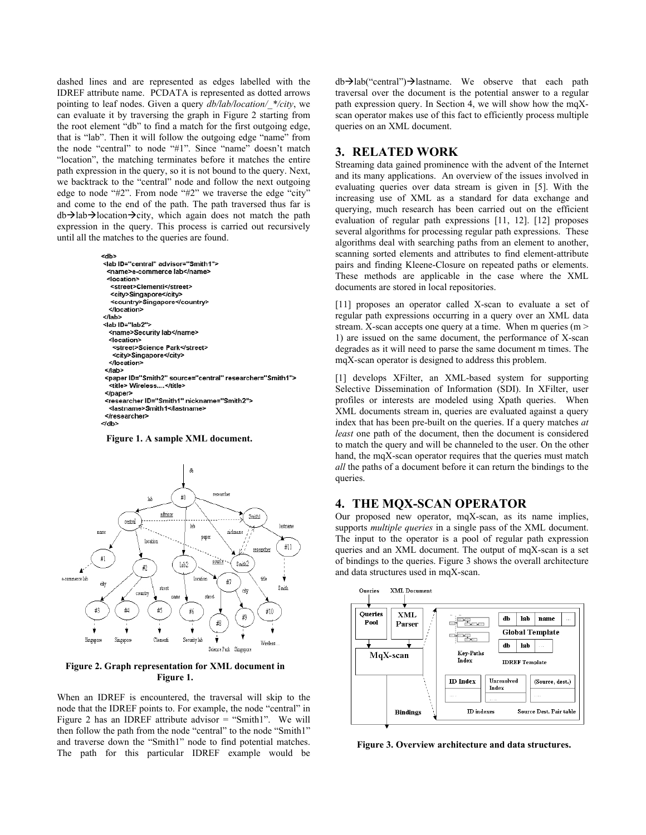dashed lines and are represented as edges labelled with the IDREF attribute name. PCDATA is represented as dotted arrows pointing to leaf nodes. Given a query *db/lab/location/\_\*/city*, we can evaluate it by traversing the graph in Figure 2 starting from the root element "db" to find a match for the first outgoing edge, that is "lab". Then it will follow the outgoing edge "name" from the node "central" to node "#1". Since "name" doesn't match "location", the matching terminates before it matches the entire path expression in the query, so it is not bound to the query. Next, we backtrack to the "central" node and follow the next outgoing edge to node "#2". From node "#2" we traverse the edge "city" and come to the end of the path. The path traversed thus far is  $db\rightarrow$ lab $\rightarrow$ location $\rightarrow$ city, which again does not match the path expression in the query. This process is carried out recursively until all the matches to the queries are found.



**Figure 1. A sample XML document.** 



**Figure 2. Graph representation for XML document in Figure 1.**

When an IDREF is encountered, the traversal will skip to the node that the IDREF points to. For example, the node "central" in Figure 2 has an IDREF attribute advisor = "Smith1". We will then follow the path from the node "central" to the node "Smith1" and traverse down the "Smith1" node to find potential matches. The path for this particular IDREF example would be  $db\rightarrow lab$ <sup>"</sup>central") $\rightarrow$ lastname. We observe that each path traversal over the document is the potential answer to a regular path expression query. In Section 4, we will show how the mqXscan operator makes use of this fact to efficiently process multiple queries on an XML document.

## **3. RELATED WORK**

Streaming data gained prominence with the advent of the Internet and its many applications. An overview of the issues involved in evaluating queries over data stream is given in [5]. With the increasing use of XML as a standard for data exchange and querying, much research has been carried out on the efficient evaluation of regular path expressions [11, 12]. [12] proposes several algorithms for processing regular path expressions. These algorithms deal with searching paths from an element to another, scanning sorted elements and attributes to find element-attribute pairs and finding Kleene-Closure on repeated paths or elements. These methods are applicable in the case where the XML documents are stored in local repositories.

[11] proposes an operator called X-scan to evaluate a set of regular path expressions occurring in a query over an XML data stream. X-scan accepts one query at a time. When m queries  $(m >$ 1) are issued on the same document, the performance of X-scan degrades as it will need to parse the same document m times. The mqX-scan operator is designed to address this problem.

[1] develops XFilter, an XML-based system for supporting Selective Dissemination of Information (SDI). In XFilter, user profiles or interests are modeled using Xpath queries. When XML documents stream in, queries are evaluated against a query index that has been pre-built on the queries. If a query matches *at least* one path of the document, then the document is considered to match the query and will be channeled to the user. On the other hand, the mqX-scan operator requires that the queries must match *all* the paths of a document before it can return the bindings to the queries.

# **4. THE MQX-SCAN OPERATOR**

Our proposed new operator, mqX-scan, as its name implies, supports *multiple queries* in a single pass of the XML document. The input to the operator is a pool of regular path expression queries and an XML document. The output of mqX-scan is a set of bindings to the queries. Figure 3 shows the overall architecture and data structures used in mqX-scan.



**Figure 3. Overview architecture and data structures.**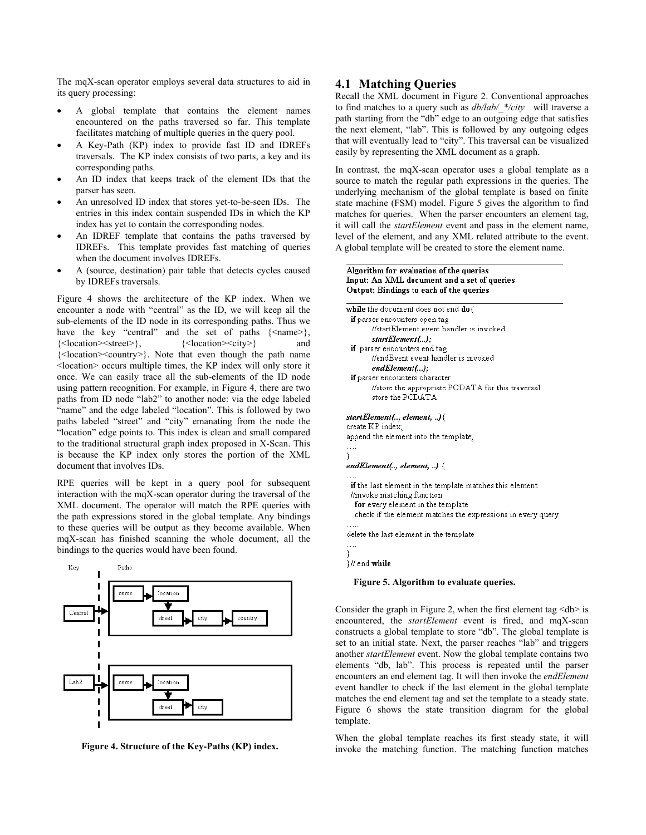The mqX-scan operator employs several data structures to aid in its query processing:

- A global template that contains the element names encountered on the paths traversed so far. This template facilitates matching of multiple queries in the query pool.
- A Key-Path (KP) index to provide fast ID and IDREFs traversals. The KP index consists of two parts, a key and its corresponding paths.
- An ID index that keeps track of the element IDs that the parser has seen.
- An unresolved ID index that stores yet-to-be-seen IDs. The entries in this index contain suspended IDs in which the KP index has yet to contain the corresponding nodes.
- An IDREF template that contains the paths traversed by IDREFs. This template provides fast matching of queries when the document involves IDREFs.
- A (source, destination) pair table that detects cycles caused by IDREFs traversals.

Figure 4 shows the architecture of the KP index. When we encounter a node with "central" as the ID, we will keep all the sub-elements of the ID node in its corresponding paths. Thus we have the key "central" and the set of paths  $\{\text{'name}\},\$ {<location><street>}, {<location><city>} and {<location><country>}. Note that even though the path name <location> occurs multiple times, the KP index will only store it once. We can easily trace all the sub-elements of the ID node using pattern recognition. For example, in Figure 4, there are two paths from ID node "lab2" to another node: via the edge labeled "name" and the edge labeled "location". This is followed by two paths labeled "street" and "city" emanating from the node the "location" edge points to. This index is clean and small compared to the traditional structural graph index proposed in X-Scan. This is because the KP index only stores the portion of the XML document that involves IDs.

RPE queries will be kept in a query pool for subsequent interaction with the mqX-scan operator during the traversal of the XML document. The operator will match the RPE queries with the path expressions stored in the global template. Any bindings to these queries will be output as they become available. When mqX-scan has finished scanning the whole document, all the bindings to the queries would have been found.



**Figure 4. Structure of the Key-Paths (KP) index.** 

# **4.1 Matching Queries**

Recall the XML document in Figure 2. Conventional approaches to find matches to a query such as *db/lab/\_\*/city* will traverse a path starting from the "db" edge to an outgoing edge that satisfies the next element, "lab". This is followed by any outgoing edges that will eventually lead to "city". This traversal can be visualized easily by representing the XML document as a graph.

In contrast, the mqX-scan operator uses a global template as a source to match the regular path expressions in the queries. The underlying mechanism of the global template is based on finite state machine (FSM) model. Figure 5 gives the algorithm to find matches for queries.When the parser encounters an element tag, it will call the *startElement* event and pass in the element name, level of the element, and any XML related attribute to the event. A global template will be created to store the element name.

#### Algorithm for evaluation of the queries Input: An XML document and a set of queries Output: Bindings to each of the queries



#### **Figure 5. Algorithm to evaluate queries.**

Consider the graph in Figure 2, when the first element tag  $\langle$ db> is encountered, the *startElement* event is fired, and mqX-scan constructs a global template to store "db". The global template is set to an initial state. Next, the parser reaches "lab" and triggers another *startElement* event. Now the global template contains two elements "db, lab". This process is repeated until the parser encounters an end element tag. It will then invoke the *endElement* event handler to check if the last element in the global template matches the end element tag and set the template to a steady state. Figure 6 shows the state transition diagram for the global template.

When the global template reaches its first steady state, it will invoke the matching function. The matching function matches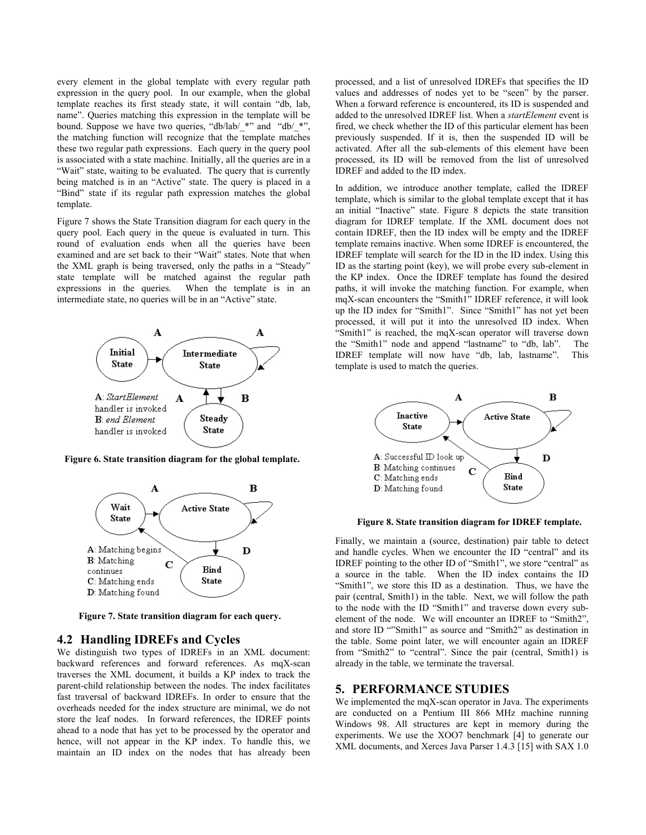every element in the global template with every regular path expression in the query pool. In our example, when the global template reaches its first steady state, it will contain "db, lab, name". Queries matching this expression in the template will be bound. Suppose we have two queries, "db/lab/\_\*" and "db/\_\*", the matching function will recognize that the template matches these two regular path expressions. Each query in the query pool is associated with a state machine. Initially, all the queries are in a "Wait" state, waiting to be evaluated. The query that is currently being matched is in an "Active" state. The query is placed in a "Bind" state if its regular path expression matches the global template.

Figure 7 shows the State Transition diagram for each query in the query pool. Each query in the queue is evaluated in turn. This round of evaluation ends when all the queries have been examined and are set back to their "Wait" states. Note that when the XML graph is being traversed, only the paths in a "Steady" state template will be matched against the regular path expressions in the queries. When the template is in an intermediate state, no queries will be in an "Active" state.



**Figure 6. State transition diagram for the global template.** 



**Figure 7. State transition diagram for each query.**

## **4.2 Handling IDREFs and Cycles**

We distinguish two types of IDREFs in an XML document: backward references and forward references. As mqX-scan traverses the XML document, it builds a KP index to track the parent-child relationship between the nodes. The index facilitates fast traversal of backward IDREFs. In order to ensure that the overheads needed for the index structure are minimal, we do not store the leaf nodes. In forward references, the IDREF points ahead to a node that has yet to be processed by the operator and hence, will not appear in the KP index. To handle this, we maintain an ID index on the nodes that has already been processed, and a list of unresolved IDREFs that specifies the ID values and addresses of nodes yet to be "seen" by the parser. When a forward reference is encountered, its ID is suspended and added to the unresolved IDREF list. When a *startElement* event is fired, we check whether the ID of this particular element has been previously suspended. If it is, then the suspended ID will be activated. After all the sub-elements of this element have been processed, its ID will be removed from the list of unresolved IDREF and added to the ID index.

In addition, we introduce another template, called the IDREF template, which is similar to the global template except that it has an initial "Inactive" state. Figure 8 depicts the state transition diagram for IDREF template. If the XML document does not contain IDREF, then the ID index will be empty and the IDREF template remains inactive. When some IDREF is encountered, the IDREF template will search for the ID in the ID index. Using this ID as the starting point (key), we will probe every sub-element in the KP index. Once the IDREF template has found the desired paths, it will invoke the matching function. For example, when mqX-scan encounters the "Smith1" IDREF reference, it will look up the ID index for "Smith1". Since "Smith1" has not yet been processed, it will put it into the unresolved ID index. When "Smith1" is reached, the mqX-scan operator will traverse down the "Smith1" node and append "lastname" to "db, lab". The IDREF template will now have "db, lab, lastname". This template is used to match the queries.



**Figure 8. State transition diagram for IDREF template.**

Finally, we maintain a (source, destination) pair table to detect and handle cycles. When we encounter the ID "central" and its IDREF pointing to the other ID of "Smith1", we store "central" as a source in the table. When the ID index contains the ID "Smith1", we store this ID as a destination. Thus, we have the pair (central, Smith1) in the table. Next, we will follow the path to the node with the ID "Smith1" and traverse down every subelement of the node. We will encounter an IDREF to "Smith2", and store ID ""Smith1" as source and "Smith2" as destination in the table. Some point later, we will encounter again an IDREF from "Smith2" to "central". Since the pair (central, Smith1) is already in the table, we terminate the traversal.

## **5. PERFORMANCE STUDIES**

We implemented the mqX-scan operator in Java. The experiments are conducted on a Pentium III 866 MHz machine running Windows 98. All structures are kept in memory during the experiments. We use the XOO7 benchmark [4] to generate our XML documents, and Xerces Java Parser 1.4.3 [15] with SAX 1.0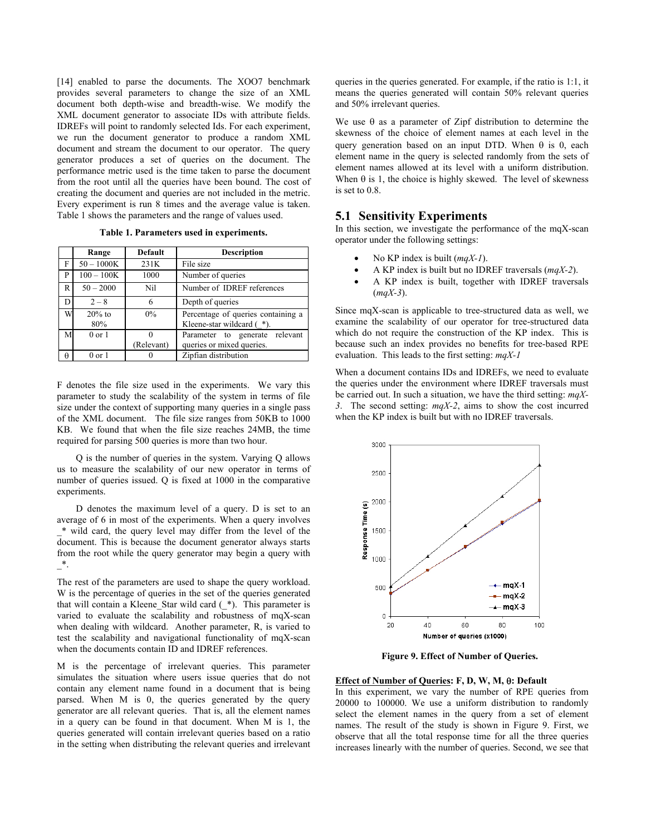[14] enabled to parse the documents. The XOO7 benchmark provides several parameters to change the size of an XML document both depth-wise and breadth-wise. We modify the XML document generator to associate IDs with attribute fields. IDREFs will point to randomly selected Ids. For each experiment, we run the document generator to produce a random XML document and stream the document to our operator. The query generator produces a set of queries on the document. The performance metric used is the time taken to parse the document from the root until all the queries have been bound. The cost of creating the document and queries are not included in the metric. Every experiment is run 8 times and the average value is taken. Table 1 shows the parameters and the range of values used.

**Table 1. Parameters used in experiments.** 

|          | Range           | <b>Default</b> | <b>Description</b>                                                 |
|----------|-----------------|----------------|--------------------------------------------------------------------|
| F        | $50 - 1000K$    | 231K           | File size                                                          |
| P        | $100 - 100K$    | 1000           | Number of queries                                                  |
| R        | $50 - 2000$     | Nil            | Number of IDREF references                                         |
| D        | $2 - 8$         | 6              | Depth of queries                                                   |
| W        | $20%$ to<br>80% | 0%             | Percentage of queries containing a<br>Kleene-star wildcard $(*)$ . |
| M        | $0$ or $1$      |                | Parameter to generate relevant                                     |
|          |                 | (Relevant)     | queries or mixed queries.                                          |
| $\theta$ | $0$ or $1$      |                | Zipfian distribution                                               |

F denotes the file size used in the experiments. We vary this parameter to study the scalability of the system in terms of file size under the context of supporting many queries in a single pass of the XML document. The file size ranges from 50KB to 1000 KB. We found that when the file size reaches 24MB, the time required for parsing 500 queries is more than two hour.

Q is the number of queries in the system. Varying Q allows us to measure the scalability of our new operator in terms of number of queries issued. Q is fixed at 1000 in the comparative experiments.

D denotes the maximum level of a query. D is set to an average of 6 in most of the experiments. When a query involves \_\* wild card, the query level may differ from the level of the document. This is because the document generator always starts from the root while the query generator may begin a query with  $\mathbb{R}^*$ .

The rest of the parameters are used to shape the query workload. W is the percentage of queries in the set of the queries generated that will contain a Kleene\_Star wild card (\_\*). This parameter is varied to evaluate the scalability and robustness of mqX-scan when dealing with wildcard. Another parameter, R, is varied to test the scalability and navigational functionality of mqX-scan when the documents contain ID and IDREF references.

M is the percentage of irrelevant queries. This parameter simulates the situation where users issue queries that do not contain any element name found in a document that is being parsed. When M is 0, the queries generated by the query generator are all relevant queries. That is, all the element names in a query can be found in that document. When M is 1, the queries generated will contain irrelevant queries based on a ratio in the setting when distributing the relevant queries and irrelevant

queries in the queries generated. For example, if the ratio is 1:1, it means the queries generated will contain 50% relevant queries and 50% irrelevant queries.

We use  $\theta$  as a parameter of Zipf distribution to determine the skewness of the choice of element names at each level in the query generation based on an input DTD. When  $\theta$  is 0, each element name in the query is selected randomly from the sets of element names allowed at its level with a uniform distribution. When  $\theta$  is 1, the choice is highly skewed. The level of skewness is set to 0.8.

## **5.1 Sensitivity Experiments**

In this section, we investigate the performance of the mqX-scan operator under the following settings:

- No KP index is built (*mqX-1*).
- A KP index is built but no IDREF traversals (*mqX-2*).
- A KP index is built, together with IDREF traversals (*mqX-3*).

Since mqX-scan is applicable to tree-structured data as well, we examine the scalability of our operator for tree-structured data which do not require the construction of the KP index. This is because such an index provides no benefits for tree-based RPE evaluation. This leads to the first setting: *mqX-1*

When a document contains IDs and IDREFs, we need to evaluate the queries under the environment where IDREF traversals must be carried out. In such a situation, we have the third setting: *mqX-3*. The second setting: *mqX-2*, aims to show the cost incurred when the KP index is built but with no IDREF traversals.



**Figure 9. Effect of Number of Queries.** 

#### **Effect of Number of Queries: F, D, W, M,** θ**: Default**

In this experiment, we vary the number of RPE queries from 20000 to 100000. We use a uniform distribution to randomly select the element names in the query from a set of element names. The result of the study is shown in Figure 9. First, we observe that all the total response time for all the three queries increases linearly with the number of queries. Second, we see that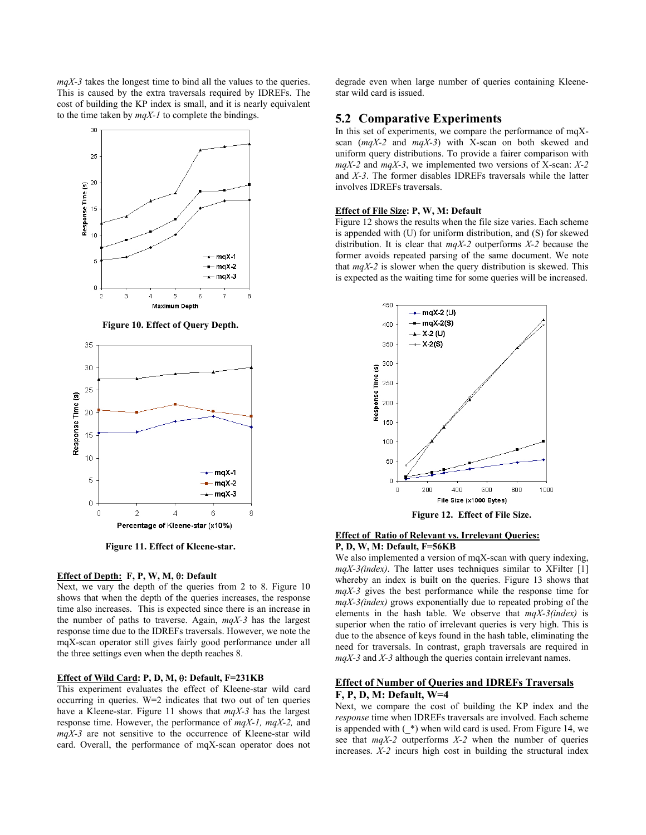*mqX-3* takes the longest time to bind all the values to the queries. This is caused by the extra traversals required by IDREFs. The cost of building the KP index is small, and it is nearly equivalent to the time taken by *mqX-1* to complete the bindings.



**Figure 11. Effect of Kleene-star.**

#### **Effect of Depth: F, P, W, M,** θ**: Default**

Next, we vary the depth of the queries from 2 to 8. Figure 10 shows that when the depth of the queries increases, the response time also increases. This is expected since there is an increase in the number of paths to traverse. Again, *mqX-3* has the largest response time due to the IDREFs traversals. However, we note the mqX-scan operator still gives fairly good performance under all the three settings even when the depth reaches 8.

#### **Effect of Wild Card: P, D, M,** θ**: Default, F=231KB**

This experiment evaluates the effect of Kleene-star wild card occurring in queries. W=2 indicates that two out of ten queries have a Kleene-star. Figure 11 shows that *mqX-3* has the largest response time. However, the performance of *mqX-1, mqX-2,* and *mqX-3* are not sensitive to the occurrence of Kleene-star wild card. Overall, the performance of mqX-scan operator does not

degrade even when large number of queries containing Kleenestar wild card is issued.

# **5.2 Comparative Experiments**

In this set of experiments, we compare the performance of  $maX$ scan (*mqX-2* and *mqX-3*) with X-scan on both skewed and uniform query distributions. To provide a fairer comparison with *mqX-2* and *mqX-3*, we implemented two versions of X-scan: *X-2* and *X-3*. The former disables IDREFs traversals while the latter involves IDREFs traversals.

#### **Effect of File Size: P, W, M: Default**

Figure 12 shows the results when the file size varies. Each scheme is appended with (U) for uniform distribution, and (S) for skewed distribution. It is clear that *mqX-2* outperforms *X-2* because the former avoids repeated parsing of the same document. We note that *mqX-2* is slower when the query distribution is skewed. This is expected as the waiting time for some queries will be increased.



#### **Effect of Ratio of Relevant vs. Irrelevant Queries: P, D, W, M: Default, F=56KB**

We also implemented a version of mqX-scan with query indexing, *mqX-3(index)*. The latter uses techniques similar to XFilter [1] whereby an index is built on the queries. Figure 13 shows that *mqX-3* gives the best performance while the response time for *mqX-3(index)* grows exponentially due to repeated probing of the elements in the hash table. We observe that *mqX-3(index)* is superior when the ratio of irrelevant queries is very high. This is due to the absence of keys found in the hash table, eliminating the need for traversals. In contrast, graph traversals are required in *mqX-3* and *X-3* although the queries contain irrelevant names.

#### **Effect of Number of Queries and IDREFs Traversals F, P, D, M: Default, W=4**

Next, we compare the cost of building the KP index and the *response* time when IDREFs traversals are involved. Each scheme is appended with  $(*)$  when wild card is used. From Figure 14, we see that *mqX-2* outperforms *X-2* when the number of queries increases. *X-2* incurs high cost in building the structural index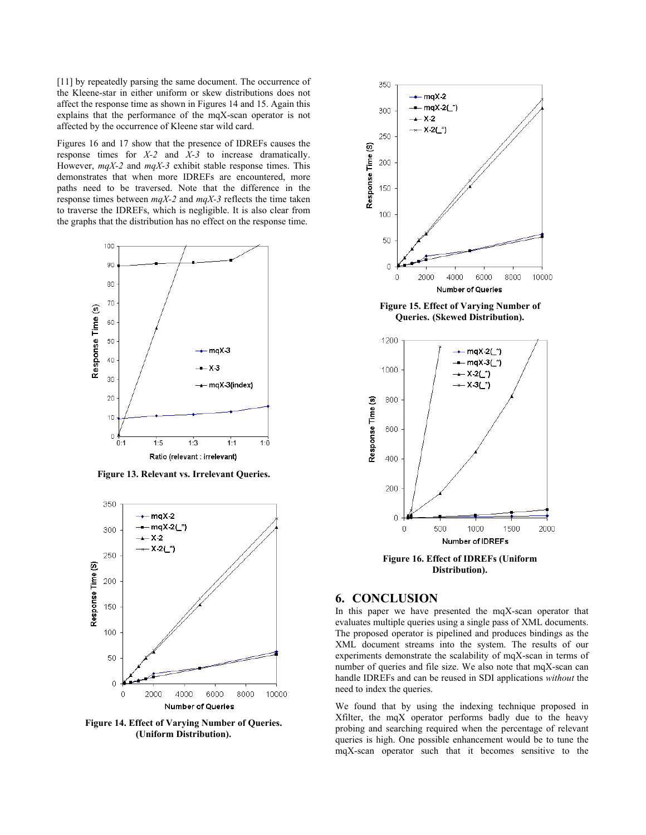[11] by repeatedly parsing the same document. The occurrence of the Kleene-star in either uniform or skew distributions does not affect the response time as shown in Figures 14 and 15. Again this explains that the performance of the mqX-scan operator is not affected by the occurrence of Kleene star wild card.

Figures 16 and 17 show that the presence of IDREFs causes the response times for *X-2* and *X-3* to increase dramatically. However, *mqX-2* and *mqX-3* exhibit stable response times. This demonstrates that when more IDREFs are encountered, more paths need to be traversed. Note that the difference in the response times between *mqX-2* and *mqX-3* reflects the time taken to traverse the IDREFs, which is negligible. It is also clear from the graphs that the distribution has no effect on the response time.



**Figure 13. Relevant vs. Irrelevant Queries.** 



**Figure 14. Effect of Varying Number of Queries. (Uniform Distribution).**



**Figure 15. Effect of Varying Number of Queries. (Skewed Distribution).** 



**Figure 16. Effect of IDREFs (Uniform Distribution).** 

## **6. CONCLUSION**

In this paper we have presented the mqX-scan operator that evaluates multiple queries using a single pass of XML documents. The proposed operator is pipelined and produces bindings as the XML document streams into the system. The results of our experiments demonstrate the scalability of mqX-scan in terms of number of queries and file size. We also note that mqX-scan can handle IDREFs and can be reused in SDI applications *without* the need to index the queries.

We found that by using the indexing technique proposed in Xfilter, the mqX operator performs badly due to the heavy probing and searching required when the percentage of relevant queries is high. One possible enhancement would be to tune the mqX-scan operator such that it becomes sensitive to the